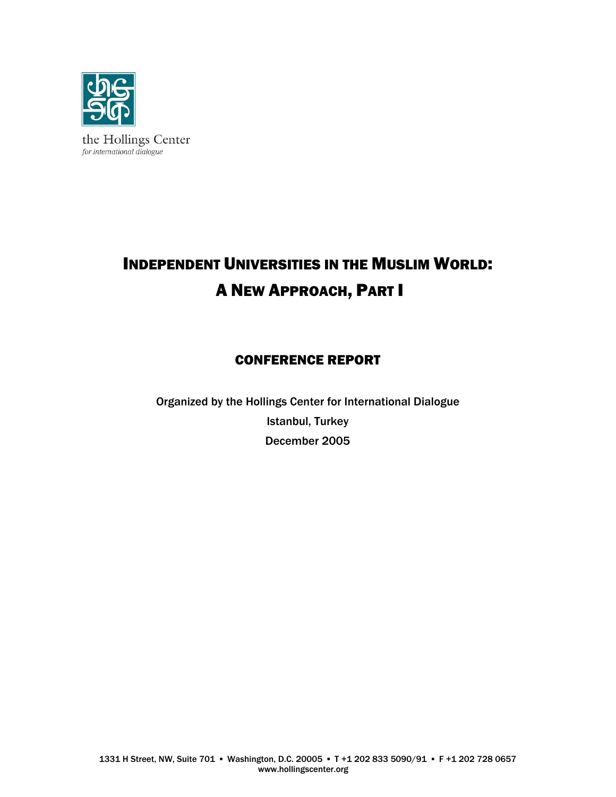

# INDEPENDENT UNIVERSITIES IN THE MUSLIM WORLD: A NEW APPROACH, PART I

# CONFERENCE REPORT

Organized by the Hollings Center for International Dialogue Istanbul, Turkey December 2005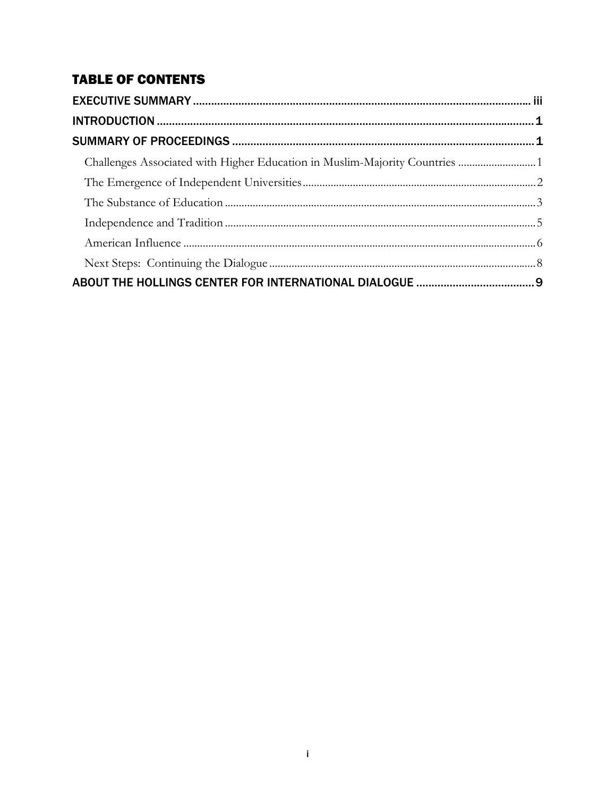# **TABLE OF CONTENTS**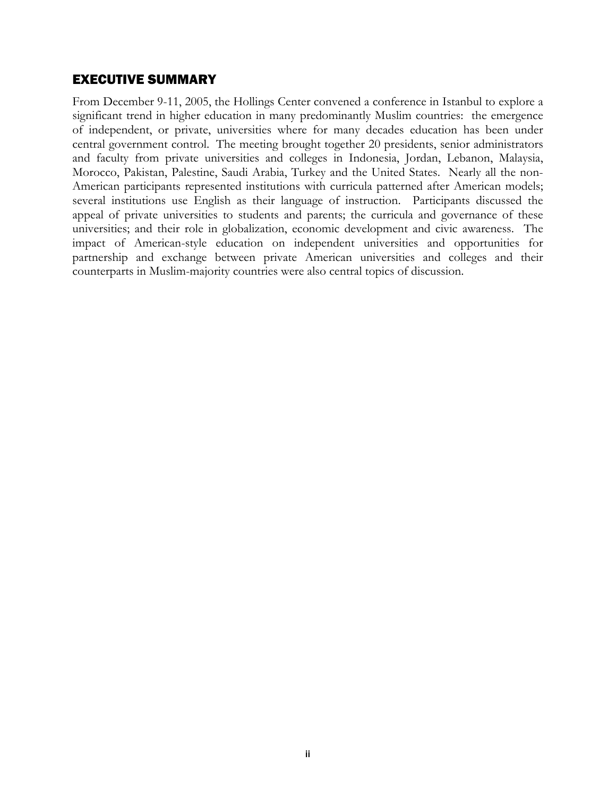## EXECUTIVE SUMMARY

From December 9-11, 2005, the Hollings Center convened a conference in Istanbul to explore a significant trend in higher education in many predominantly Muslim countries: the emergence of independent, or private, universities where for many decades education has been under central government control. The meeting brought together 20 presidents, senior administrators and faculty from private universities and colleges in Indonesia, Jordan, Lebanon, Malaysia, Morocco, Pakistan, Palestine, Saudi Arabia, Turkey and the United States. Nearly all the non-American participants represented institutions with curricula patterned after American models; several institutions use English as their language of instruction. Participants discussed the appeal of private universities to students and parents; the curricula and governance of these universities; and their role in globalization, economic development and civic awareness. The impact of American-style education on independent universities and opportunities for partnership and exchange between private American universities and colleges and their counterparts in Muslim-majority countries were also central topics of discussion.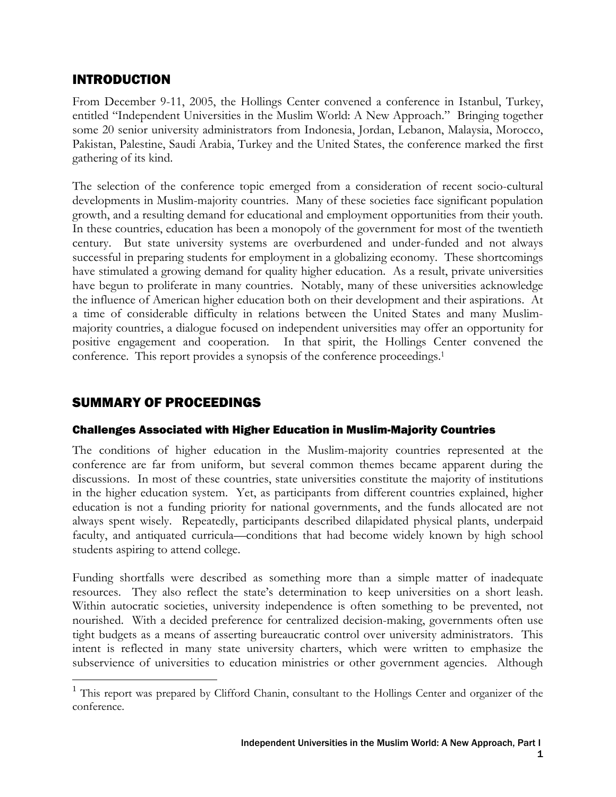# INTRODUCTION

From December 9-11, 2005, the Hollings Center convened a conference in Istanbul, Turkey, entitled "Independent Universities in the Muslim World: A New Approach." Bringing together some 20 senior university administrators from Indonesia, Jordan, Lebanon, Malaysia, Morocco, Pakistan, Palestine, Saudi Arabia, Turkey and the United States, the conference marked the first gathering of its kind.

The selection of the conference topic emerged from a consideration of recent socio-cultural developments in Muslim-majority countries. Many of these societies face significant population growth, and a resulting demand for educational and employment opportunities from their youth. In these countries, education has been a monopoly of the government for most of the twentieth century. But state university systems are overburdened and under-funded and not always successful in preparing students for employment in a globalizing economy. These shortcomings have stimulated a growing demand for quality higher education. As a result, private universities have begun to proliferate in many countries. Notably, many of these universities acknowledge the influence of American higher education both on their development and their aspirations. At a time of considerable difficulty in relations between the United States and many Muslimmajority countries, a dialogue focused on independent universities may offer an opportunity for positive engagement and cooperation. In that spirit, the Hollings Center convened the conference. This report provides a synopsis of the conference proceedings.<sup>1</sup>

# SUMMARY OF PROCEEDINGS

 $\overline{a}$ 

#### Challenges Associated with Higher Education in Muslim-Majority Countries

The conditions of higher education in the Muslim-majority countries represented at the conference are far from uniform, but several common themes became apparent during the discussions. In most of these countries, state universities constitute the majority of institutions in the higher education system. Yet, as participants from different countries explained, higher education is not a funding priority for national governments, and the funds allocated are not always spent wisely. Repeatedly, participants described dilapidated physical plants, underpaid faculty, and antiquated curricula—conditions that had become widely known by high school students aspiring to attend college.

Funding shortfalls were described as something more than a simple matter of inadequate resources. They also reflect the state's determination to keep universities on a short leash. Within autocratic societies, university independence is often something to be prevented, not nourished. With a decided preference for centralized decision-making, governments often use tight budgets as a means of asserting bureaucratic control over university administrators. This intent is reflected in many state university charters, which were written to emphasize the subservience of universities to education ministries or other government agencies. Although

<sup>&</sup>lt;sup>1</sup> This report was prepared by Clifford Chanin, consultant to the Hollings Center and organizer of the conference.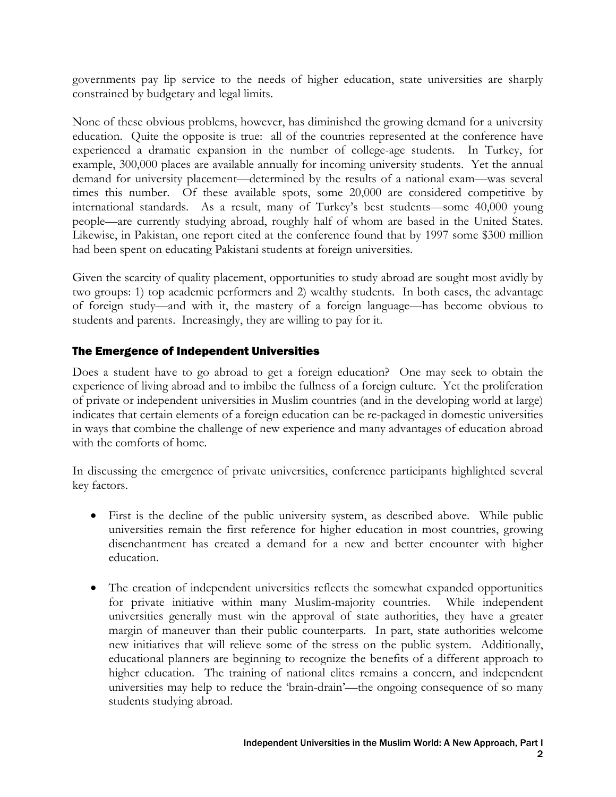governments pay lip service to the needs of higher education, state universities are sharply constrained by budgetary and legal limits.

None of these obvious problems, however, has diminished the growing demand for a university education. Quite the opposite is true: all of the countries represented at the conference have experienced a dramatic expansion in the number of college-age students. In Turkey, for example, 300,000 places are available annually for incoming university students. Yet the annual demand for university placement—determined by the results of a national exam—was several times this number. Of these available spots, some 20,000 are considered competitive by international standards. As a result, many of Turkey's best students—some 40,000 young people—are currently studying abroad, roughly half of whom are based in the United States. Likewise, in Pakistan, one report cited at the conference found that by 1997 some \$300 million had been spent on educating Pakistani students at foreign universities.

Given the scarcity of quality placement, opportunities to study abroad are sought most avidly by two groups: 1) top academic performers and 2) wealthy students. In both cases, the advantage of foreign study—and with it, the mastery of a foreign language—has become obvious to students and parents. Increasingly, they are willing to pay for it.

#### The Emergence of Independent Universities

Does a student have to go abroad to get a foreign education? One may seek to obtain the experience of living abroad and to imbibe the fullness of a foreign culture. Yet the proliferation of private or independent universities in Muslim countries (and in the developing world at large) indicates that certain elements of a foreign education can be re-packaged in domestic universities in ways that combine the challenge of new experience and many advantages of education abroad with the comforts of home.

In discussing the emergence of private universities, conference participants highlighted several key factors.

- First is the decline of the public university system, as described above. While public universities remain the first reference for higher education in most countries, growing disenchantment has created a demand for a new and better encounter with higher education.
- The creation of independent universities reflects the somewhat expanded opportunities for private initiative within many Muslim-majority countries. While independent universities generally must win the approval of state authorities, they have a greater margin of maneuver than their public counterparts. In part, state authorities welcome new initiatives that will relieve some of the stress on the public system. Additionally, educational planners are beginning to recognize the benefits of a different approach to higher education. The training of national elites remains a concern, and independent universities may help to reduce the 'brain-drain'—the ongoing consequence of so many students studying abroad.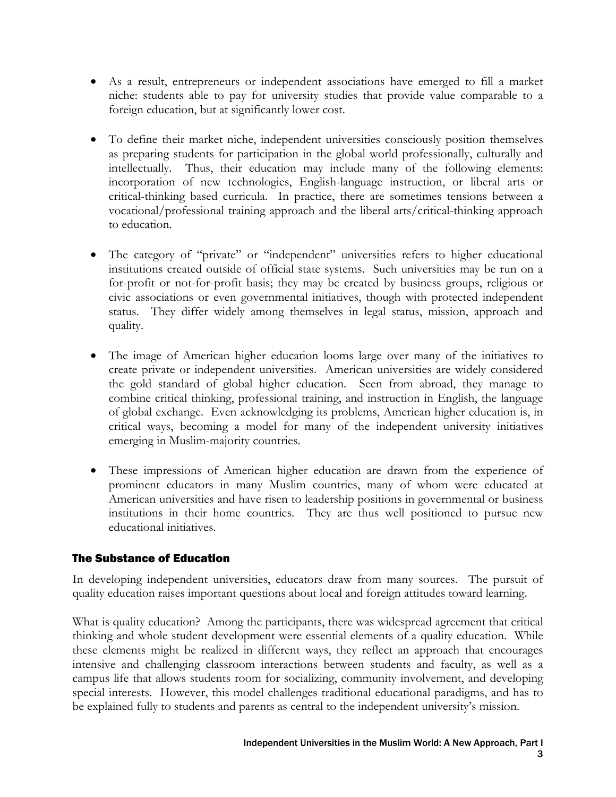- As a result, entrepreneurs or independent associations have emerged to fill a market niche: students able to pay for university studies that provide value comparable to a foreign education, but at significantly lower cost.
- To define their market niche, independent universities consciously position themselves as preparing students for participation in the global world professionally, culturally and intellectually. Thus, their education may include many of the following elements: incorporation of new technologies, English-language instruction, or liberal arts or critical-thinking based curricula. In practice, there are sometimes tensions between a vocational/professional training approach and the liberal arts/critical-thinking approach to education.
- The category of "private" or "independent" universities refers to higher educational institutions created outside of official state systems. Such universities may be run on a for-profit or not-for-profit basis; they may be created by business groups, religious or civic associations or even governmental initiatives, though with protected independent status. They differ widely among themselves in legal status, mission, approach and quality.
- The image of American higher education looms large over many of the initiatives to create private or independent universities. American universities are widely considered the gold standard of global higher education. Seen from abroad, they manage to combine critical thinking, professional training, and instruction in English, the language of global exchange. Even acknowledging its problems, American higher education is, in critical ways, becoming a model for many of the independent university initiatives emerging in Muslim-majority countries.
- These impressions of American higher education are drawn from the experience of prominent educators in many Muslim countries, many of whom were educated at American universities and have risen to leadership positions in governmental or business institutions in their home countries. They are thus well positioned to pursue new educational initiatives.

#### The Substance of Education

In developing independent universities, educators draw from many sources. The pursuit of quality education raises important questions about local and foreign attitudes toward learning.

What is quality education? Among the participants, there was widespread agreement that critical thinking and whole student development were essential elements of a quality education. While these elements might be realized in different ways, they reflect an approach that encourages intensive and challenging classroom interactions between students and faculty, as well as a campus life that allows students room for socializing, community involvement, and developing special interests. However, this model challenges traditional educational paradigms, and has to be explained fully to students and parents as central to the independent university's mission.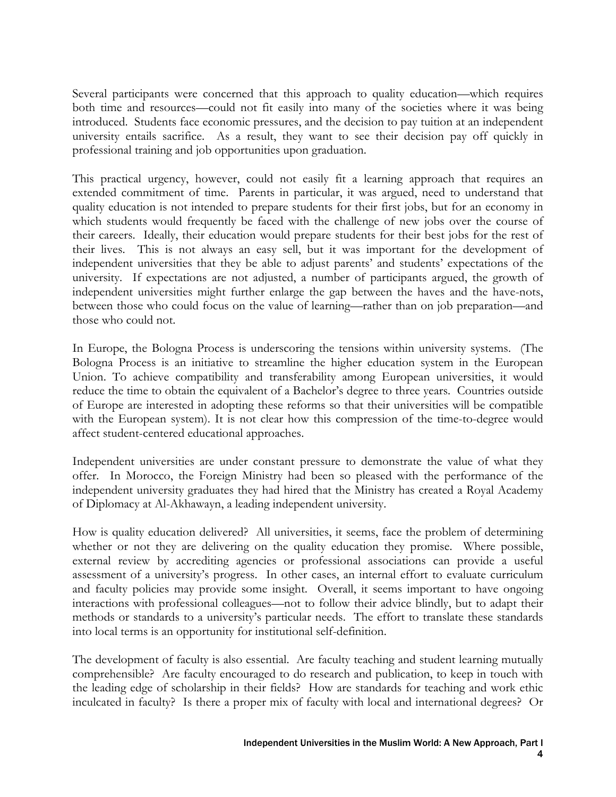Several participants were concerned that this approach to quality education—which requires both time and resources—could not fit easily into many of the societies where it was being introduced. Students face economic pressures, and the decision to pay tuition at an independent university entails sacrifice. As a result, they want to see their decision pay off quickly in professional training and job opportunities upon graduation.

This practical urgency, however, could not easily fit a learning approach that requires an extended commitment of time. Parents in particular, it was argued, need to understand that quality education is not intended to prepare students for their first jobs, but for an economy in which students would frequently be faced with the challenge of new jobs over the course of their careers. Ideally, their education would prepare students for their best jobs for the rest of their lives. This is not always an easy sell, but it was important for the development of independent universities that they be able to adjust parents' and students' expectations of the university. If expectations are not adjusted, a number of participants argued, the growth of independent universities might further enlarge the gap between the haves and the have-nots, between those who could focus on the value of learning—rather than on job preparation—and those who could not.

In Europe, the Bologna Process is underscoring the tensions within university systems. (The Bologna Process is an initiative to streamline the higher education system in the European Union. To achieve compatibility and transferability among European universities, it would reduce the time to obtain the equivalent of a Bachelor's degree to three years. Countries outside of Europe are interested in adopting these reforms so that their universities will be compatible with the European system). It is not clear how this compression of the time-to-degree would affect student-centered educational approaches.

Independent universities are under constant pressure to demonstrate the value of what they offer. In Morocco, the Foreign Ministry had been so pleased with the performance of the independent university graduates they had hired that the Ministry has created a Royal Academy of Diplomacy at Al-Akhawayn, a leading independent university.

How is quality education delivered?All universities, it seems, face the problem of determining whether or not they are delivering on the quality education they promise. Where possible, external review by accrediting agencies or professional associations can provide a useful assessment of a university's progress. In other cases, an internal effort to evaluate curriculum and faculty policies may provide some insight. Overall, it seems important to have ongoing interactions with professional colleagues—not to follow their advice blindly, but to adapt their methods or standards to a university's particular needs. The effort to translate these standards into local terms is an opportunity for institutional self-definition.

The development of faculty is also essential. Are faculty teaching and student learning mutually comprehensible? Are faculty encouraged to do research and publication, to keep in touch with the leading edge of scholarship in their fields? How are standards for teaching and work ethic inculcated in faculty? Is there a proper mix of faculty with local and international degrees? Or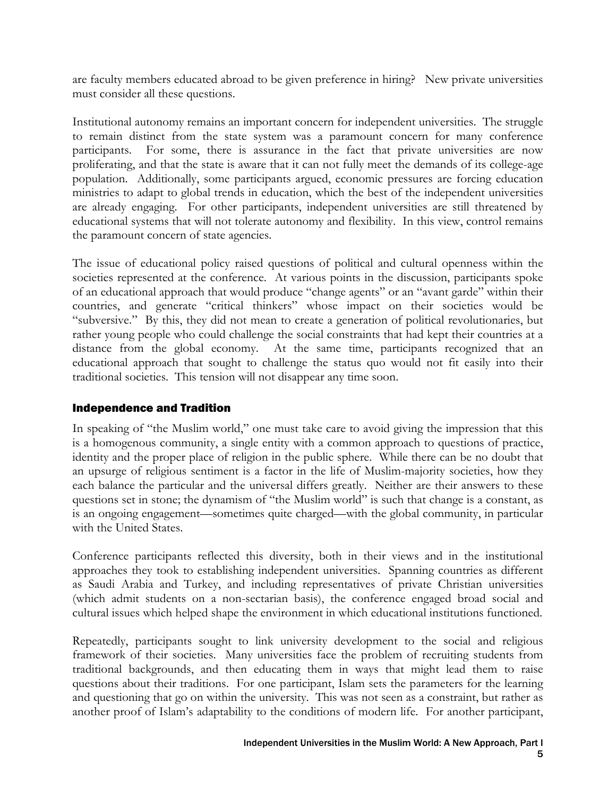are faculty members educated abroad to be given preference in hiring? New private universities must consider all these questions.

Institutional autonomy remains an important concern for independent universities. The struggle to remain distinct from the state system was a paramount concern for many conference participants. For some, there is assurance in the fact that private universities are now proliferating, and that the state is aware that it can not fully meet the demands of its college-age population. Additionally, some participants argued, economic pressures are forcing education ministries to adapt to global trends in education, which the best of the independent universities are already engaging. For other participants, independent universities are still threatened by educational systems that will not tolerate autonomy and flexibility. In this view, control remains the paramount concern of state agencies.

The issue of educational policy raised questions of political and cultural openness within the societies represented at the conference. At various points in the discussion, participants spoke of an educational approach that would produce "change agents" or an "avant garde" within their countries, and generate "critical thinkers" whose impact on their societies would be "subversive." By this, they did not mean to create a generation of political revolutionaries, but rather young people who could challenge the social constraints that had kept their countries at a distance from the global economy. At the same time, participants recognized that an educational approach that sought to challenge the status quo would not fit easily into their traditional societies. This tension will not disappear any time soon.

#### Independence and Tradition

In speaking of "the Muslim world," one must take care to avoid giving the impression that this is a homogenous community, a single entity with a common approach to questions of practice, identity and the proper place of religion in the public sphere. While there can be no doubt that an upsurge of religious sentiment is a factor in the life of Muslim-majority societies, how they each balance the particular and the universal differs greatly. Neither are their answers to these questions set in stone; the dynamism of "the Muslim world" is such that change is a constant, as is an ongoing engagement—sometimes quite charged—with the global community, in particular with the United States.

Conference participants reflected this diversity, both in their views and in the institutional approaches they took to establishing independent universities. Spanning countries as different as Saudi Arabia and Turkey, and including representatives of private Christian universities (which admit students on a non-sectarian basis), the conference engaged broad social and cultural issues which helped shape the environment in which educational institutions functioned.

Repeatedly, participants sought to link university development to the social and religious framework of their societies. Many universities face the problem of recruiting students from traditional backgrounds, and then educating them in ways that might lead them to raise questions about their traditions. For one participant, Islam sets the parameters for the learning and questioning that go on within the university. This was not seen as a constraint, but rather as another proof of Islam's adaptability to the conditions of modern life. For another participant,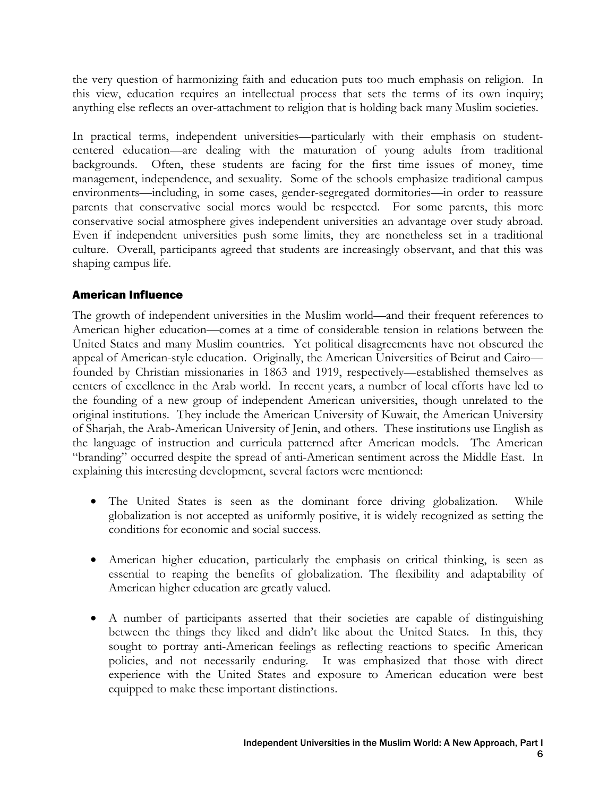the very question of harmonizing faith and education puts too much emphasis on religion. In this view, education requires an intellectual process that sets the terms of its own inquiry; anything else reflects an over-attachment to religion that is holding back many Muslim societies.

In practical terms, independent universities—particularly with their emphasis on studentcentered education—are dealing with the maturation of young adults from traditional backgrounds. Often, these students are facing for the first time issues of money, time management, independence, and sexuality. Some of the schools emphasize traditional campus environments—including, in some cases, gender-segregated dormitories—in order to reassure parents that conservative social mores would be respected. For some parents, this more conservative social atmosphere gives independent universities an advantage over study abroad. Even if independent universities push some limits, they are nonetheless set in a traditional culture. Overall, participants agreed that students are increasingly observant, and that this was shaping campus life.

#### American Influence

The growth of independent universities in the Muslim world—and their frequent references to American higher education—comes at a time of considerable tension in relations between the United States and many Muslim countries. Yet political disagreements have not obscured the appeal of American-style education. Originally, the American Universities of Beirut and Cairo founded by Christian missionaries in 1863 and 1919, respectively—established themselves as centers of excellence in the Arab world. In recent years, a number of local efforts have led to the founding of a new group of independent American universities, though unrelated to the original institutions. They include the American University of Kuwait, the American University of Sharjah, the Arab-American University of Jenin, and others. These institutions use English as the language of instruction and curricula patterned after American models. The American "branding" occurred despite the spread of anti-American sentiment across the Middle East. In explaining this interesting development, several factors were mentioned:

- The United States is seen as the dominant force driving globalization. While globalization is not accepted as uniformly positive, it is widely recognized as setting the conditions for economic and social success.
- American higher education, particularly the emphasis on critical thinking, is seen as essential to reaping the benefits of globalization. The flexibility and adaptability of American higher education are greatly valued.
- A number of participants asserted that their societies are capable of distinguishing between the things they liked and didn't like about the United States. In this, they sought to portray anti-American feelings as reflecting reactions to specific American policies, and not necessarily enduring. It was emphasized that those with direct experience with the United States and exposure to American education were best equipped to make these important distinctions.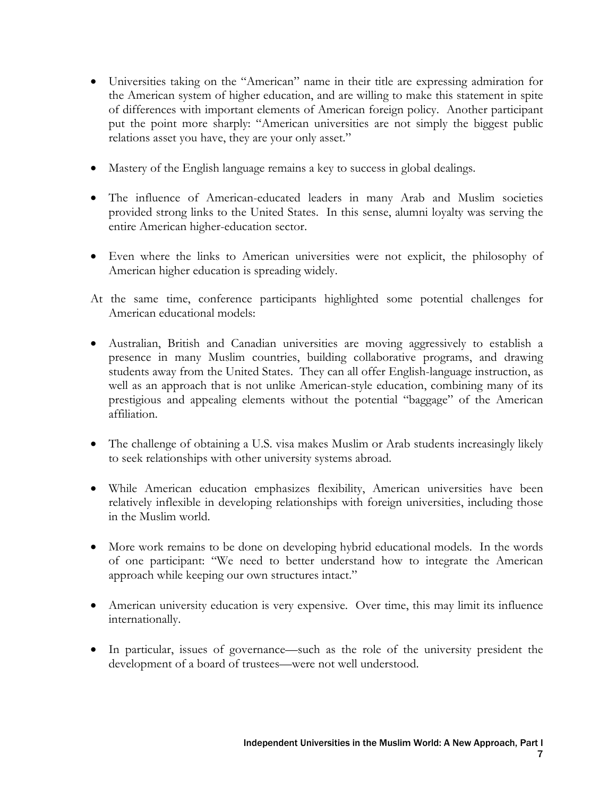- Universities taking on the "American" name in their title are expressing admiration for the American system of higher education, and are willing to make this statement in spite of differences with important elements of American foreign policy. Another participant put the point more sharply: "American universities are not simply the biggest public relations asset you have, they are your only asset."
- Mastery of the English language remains a key to success in global dealings.
- The influence of American-educated leaders in many Arab and Muslim societies provided strong links to the United States. In this sense, alumni loyalty was serving the entire American higher-education sector.
- Even where the links to American universities were not explicit, the philosophy of American higher education is spreading widely.
- At the same time, conference participants highlighted some potential challenges for American educational models:
- Australian, British and Canadian universities are moving aggressively to establish a presence in many Muslim countries, building collaborative programs, and drawing students away from the United States. They can all offer English-language instruction, as well as an approach that is not unlike American-style education, combining many of its prestigious and appealing elements without the potential "baggage" of the American affiliation.
- The challenge of obtaining a U.S. visa makes Muslim or Arab students increasingly likely to seek relationships with other university systems abroad.
- While American education emphasizes flexibility, American universities have been relatively inflexible in developing relationships with foreign universities, including those in the Muslim world.
- More work remains to be done on developing hybrid educational models. In the words of one participant: "We need to better understand how to integrate the American approach while keeping our own structures intact."
- American university education is very expensive. Over time, this may limit its influence internationally.
- In particular, issues of governance—such as the role of the university president the development of a board of trustees—were not well understood.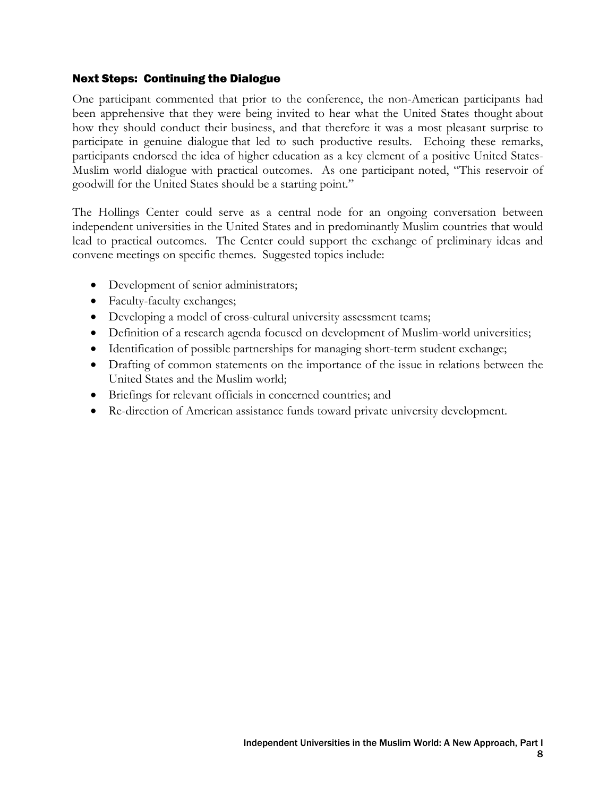#### Next Steps: Continuing the Dialogue

One participant commented that prior to the conference, the non-American participants had been apprehensive that they were being invited to hear what the United States thought about how they should conduct their business, and that therefore it was a most pleasant surprise to participate in genuine dialogue that led to such productive results. Echoing these remarks, participants endorsed the idea of higher education as a key element of a positive United States-Muslim world dialogue with practical outcomes. As one participant noted, "This reservoir of goodwill for the United States should be a starting point."

The Hollings Center could serve as a central node for an ongoing conversation between independent universities in the United States and in predominantly Muslim countries that would lead to practical outcomes. The Center could support the exchange of preliminary ideas and convene meetings on specific themes. Suggested topics include:

- Development of senior administrators;
- Faculty-faculty exchanges;
- Developing a model of cross-cultural university assessment teams;
- Definition of a research agenda focused on development of Muslim-world universities;
- Identification of possible partnerships for managing short-term student exchange;
- Drafting of common statements on the importance of the issue in relations between the United States and the Muslim world;
- Briefings for relevant officials in concerned countries; and
- Re-direction of American assistance funds toward private university development.